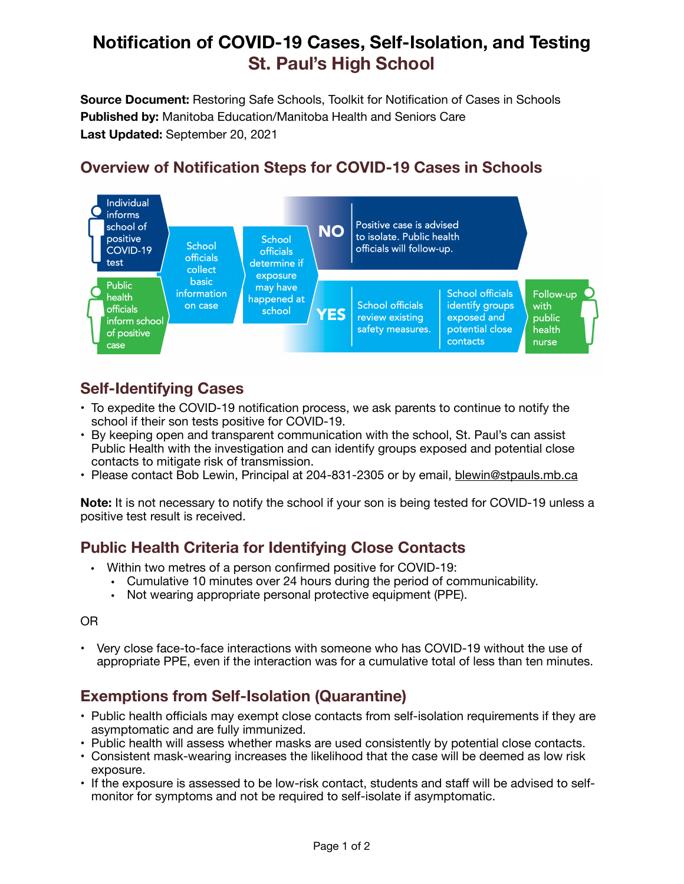# **Notification of COVID-19 Cases, Self-Isolation, and Testing St. Paul's High School**

**Source Document:** Restoring Safe Schools, Toolkit for Notification of Cases in Schools **Published by:** Manitoba Education/Manitoba Health and Seniors Care **Last Updated:** September 20, 2021

# **Overview of Notification Steps for COVID-19 Cases in Schools**



## **Self-Identifying Cases**

- To expedite the COVID-19 notification process, we ask parents to continue to notify the school if their son tests positive for COVID-19.
- By keeping open and transparent communication with the school, St. Paul's can assist Public Health with the investigation and can identify groups exposed and potential close contacts to mitigate risk of transmission.
- Please contact Bob Lewin, Principal at 204-831-2305 or by email, [blewin@stpauls.mb.ca](mailto:blewin@stpauls.mb.ca)

**Note:** It is not necessary to notify the school if your son is being tested for COVID-19 unless a positive test result is received.

## **Public Health Criteria for Identifying Close Contacts**

- Within two metres of a person confirmed positive for COVID-19:
	- Cumulative 10 minutes over 24 hours during the period of communicability.
	- Not wearing appropriate personal protective equipment (PPE).

#### OR

• Very close face-to-face interactions with someone who has COVID-19 without the use of appropriate PPE, even if the interaction was for a cumulative total of less than ten minutes.

## **Exemptions from Self-Isolation (Quarantine)**

- Public health officials may exempt close contacts from self-isolation requirements if they are asymptomatic and are fully immunized.
- Public health will assess whether masks are used consistently by potential close contacts.
- Consistent mask-wearing increases the likelihood that the case will be deemed as low risk exposure.
- If the exposure is assessed to be low-risk contact, students and staff will be advised to selfmonitor for symptoms and not be required to self-isolate if asymptomatic.